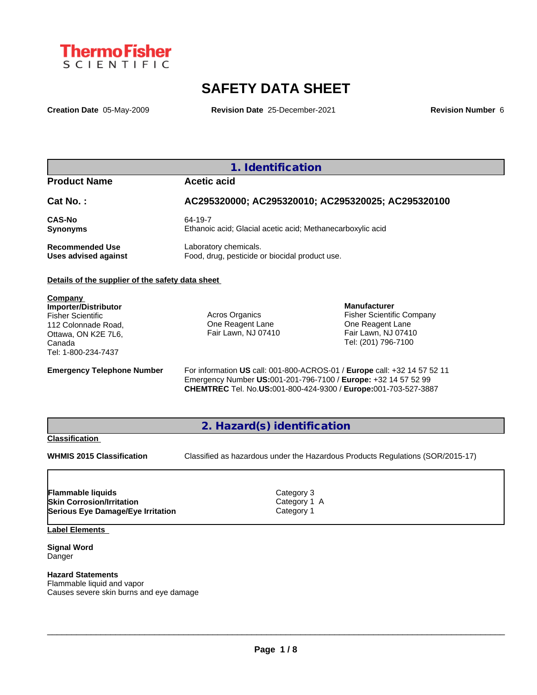

# **SAFETY DATA SHEET**

**Creation Date** 05-May-2009 **Revision Date** 25-December-2021 **Revision Number** 6

### **1. Identification**

### **Product Name Acetic acid**

| Cat No.:                    | AC295320000; AC295320010; AC295320025; AC295320100         |
|-----------------------------|------------------------------------------------------------|
| <b>CAS-No</b>               | 64-19-7                                                    |
| Synonyms                    | Ethanoic acid; Glacial acetic acid; Methanecarboxylic acid |
| <b>Recommended Use</b>      | Laboratory chemicals.                                      |
| <b>Uses advised against</b> | Food, drug, pesticide or biocidal product use.             |

#### **Details of the supplier of the safety data sheet**

**Company Importer/Distributor** Fisher Scientific 112 Colonnade Road, Ottawa, ON K2E 7L6, Canada Tel: 1-800-234-7437

Acros Organics One Reagent Lane Fair Lawn, NJ 07410

**Manufacturer** Fisher Scientific Company One Reagent Lane Fair Lawn, NJ 07410 Tel: (201) 796-7100

**Emergency Telephone Number** For information **US** call: 001-800-ACROS-01 / **Europe** call: +32 14 57 52 11 Emergency Number **US:**001-201-796-7100 / **Europe:** +32 14 57 52 99 **CHEMTREC** Tel. No.**US:**001-800-424-9300 / **Europe:**001-703-527-3887

**2. Hazard(s) identification**

#### **Classification**

**WHMIS 2015 Classification** Classified as hazardous under the Hazardous Products Regulations (SOR/2015-17)

 $\_$  ,  $\_$  ,  $\_$  ,  $\_$  ,  $\_$  ,  $\_$  ,  $\_$  ,  $\_$  ,  $\_$  ,  $\_$  ,  $\_$  ,  $\_$  ,  $\_$  ,  $\_$  ,  $\_$  ,  $\_$  ,  $\_$  ,  $\_$  ,  $\_$  ,  $\_$  ,  $\_$  ,  $\_$  ,  $\_$  ,  $\_$  ,  $\_$  ,  $\_$  ,  $\_$  ,  $\_$  ,  $\_$  ,  $\_$  ,  $\_$  ,  $\_$  ,  $\_$  ,  $\_$  ,  $\_$  ,  $\_$  ,  $\_$  ,

**Skin Corrosion/Irritation**<br> **Serious Eye Damage/Eye Irritation**<br>
Category 1 **Serious Eye Damage/Eye Irritation Flammable liquids** Category 3

**Label Elements**

**Signal Word** Danger

**Hazard Statements** Flammable liquid and vapor Causes severe skin burns and eye damage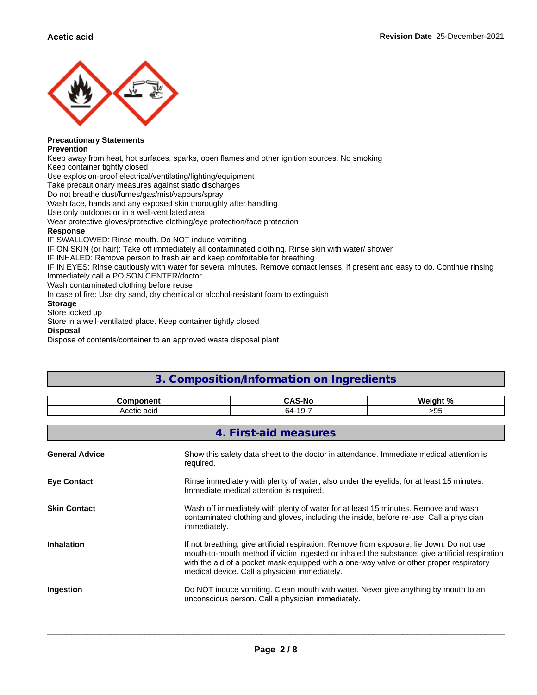

#### **Precautionary Statements Prevention**

Keep away from heat, hot surfaces, sparks, open flames and other ignition sources. No smoking Keep container tightly closed

Use explosion-proof electrical/ventilating/lighting/equipment

Take precautionary measures against static discharges

Do not breathe dust/fumes/gas/mist/vapours/spray

Wash face, hands and any exposed skin thoroughly after handling

Use only outdoors or in a well-ventilated area

Wear protective gloves/protective clothing/eye protection/face protection

#### **Response**

IF SWALLOWED: Rinse mouth. Do NOT induce vomiting

IF ON SKIN (or hair): Take off immediately all contaminated clothing. Rinse skin with water/ shower

IF INHALED: Remove person to fresh air and keep comfortable for breathing

IF IN EYES: Rinse cautiously with water for several minutes. Remove contact lenses, if present and easy to do. Continue rinsing Immediately call a POISON CENTER/doctor

Wash contaminated clothing before reuse

In case of fire: Use dry sand, dry chemical or alcohol-resistant foam to extinguish

### **Storage**

Store locked up

Store in a well-ventilated place. Keep container tightly closed

**Disposal**

Dispose of contents/container to an approved waste disposal plant

| <b>Component</b>      |              | <b>CAS-No</b>                                                                                                                                                                                                                                                                                                                           | Weight %                                                                           |  |  |
|-----------------------|--------------|-----------------------------------------------------------------------------------------------------------------------------------------------------------------------------------------------------------------------------------------------------------------------------------------------------------------------------------------|------------------------------------------------------------------------------------|--|--|
| Acetic acid           |              | 64-19-7                                                                                                                                                                                                                                                                                                                                 | >95                                                                                |  |  |
|                       |              | 4. First-aid measures                                                                                                                                                                                                                                                                                                                   |                                                                                    |  |  |
| <b>General Advice</b> | required.    | Show this safety data sheet to the doctor in attendance. Immediate medical attention is                                                                                                                                                                                                                                                 |                                                                                    |  |  |
| <b>Eye Contact</b>    |              | Rinse immediately with plenty of water, also under the eyelids, for at least 15 minutes.<br>Immediate medical attention is required.                                                                                                                                                                                                    |                                                                                    |  |  |
| <b>Skin Contact</b>   | immediately. | Wash off immediately with plenty of water for at least 15 minutes. Remove and wash<br>contaminated clothing and gloves, including the inside, before re-use. Call a physician                                                                                                                                                           |                                                                                    |  |  |
| <b>Inhalation</b>     |              | If not breathing, give artificial respiration. Remove from exposure, lie down. Do not use<br>mouth-to-mouth method if victim ingested or inhaled the substance; give artificial respiration<br>with the aid of a pocket mask equipped with a one-way valve or other proper respiratory<br>medical device. Call a physician immediately. |                                                                                    |  |  |
| Ingestion             |              | unconscious person. Call a physician immediately.                                                                                                                                                                                                                                                                                       | Do NOT induce vomiting. Clean mouth with water. Never give anything by mouth to an |  |  |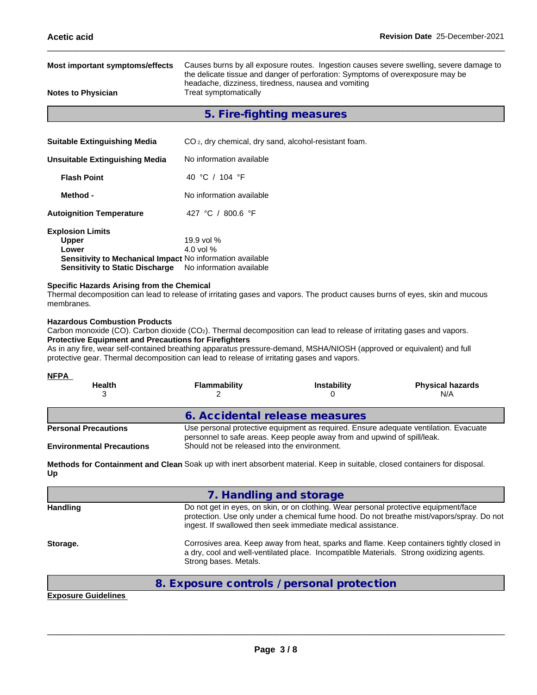| Most important symptoms/effects<br>Causes burns by all exposure routes. Ingestion causes severe swelling, severe damage to<br>the delicate tissue and danger of perforation: Symptoms of overexposure may be |                                                                              |  |  |  |
|--------------------------------------------------------------------------------------------------------------------------------------------------------------------------------------------------------------|------------------------------------------------------------------------------|--|--|--|
| <b>Notes to Physician</b>                                                                                                                                                                                    | headache, dizziness, tiredness, nausea and vomiting<br>Treat symptomatically |  |  |  |
|                                                                                                                                                                                                              | 5. Fire-fighting measures                                                    |  |  |  |
| <b>Suitable Extinguishing Media</b>                                                                                                                                                                          | CO <sub>2</sub> , dry chemical, dry sand, alcohol-resistant foam.            |  |  |  |
| <b>Unsuitable Extinguishing Media</b>                                                                                                                                                                        | No information available                                                     |  |  |  |
| <b>Flash Point</b>                                                                                                                                                                                           | 40 °C / 104 °F                                                               |  |  |  |
| Method -                                                                                                                                                                                                     | No information available                                                     |  |  |  |
| 427 °C / 800.6 °F<br><b>Autoignition Temperature</b>                                                                                                                                                         |                                                                              |  |  |  |
| <b>Explosion Limits</b><br><b>Upper</b><br>Lower<br>Sensitivity to Mechanical Impact No information available<br><b>Sensitivity to Static Discharge</b>                                                      | 19.9 vol %<br>4.0 vol $%$<br>No information available                        |  |  |  |

#### **Specific Hazards Arising from the Chemical**

Thermal decomposition can lead to release of irritating gases and vapors. The product causes burns of eyes, skin and mucous membranes.

#### **Hazardous Combustion Products**

Carbon monoxide (CO). Carbon dioxide (CO2). Thermal decomposition can lead to release of irritating gases and vapors. **Protective Equipment and Precautions for Firefighters**

As in any fire, wear self-contained breathing apparatus pressure-demand, MSHA/NIOSH (approved or equivalent) and full protective gear. Thermal decomposition can lead to release of irritating gases and vapors.

| <b>NFPA</b><br><b>Health</b>     | <b>Flammability</b>                                                                                                                                              | <b>Instability</b> | <b>Physical hazards</b><br>N/A |  |  |
|----------------------------------|------------------------------------------------------------------------------------------------------------------------------------------------------------------|--------------------|--------------------------------|--|--|
|                                  | 6. Accidental release measures                                                                                                                                   |                    |                                |  |  |
| <b>Personal Precautions</b>      | Use personal protective equipment as required. Ensure adequate ventilation. Evacuate<br>personnel to safe areas. Keep people away from and upwind of spill/leak. |                    |                                |  |  |
| <b>Environmental Precautions</b> | Should not be released into the environment.                                                                                                                     |                    |                                |  |  |

**Methods for Containment and Clean** Soak up with inert absorbent material. Keep in suitable, closed containers for disposal. **Up**

|                 | 7. Handling and storage                                                                                                                                                                                                                           |
|-----------------|---------------------------------------------------------------------------------------------------------------------------------------------------------------------------------------------------------------------------------------------------|
| <b>Handling</b> | Do not get in eyes, on skin, or on clothing. Wear personal protective equipment/face<br>protection. Use only under a chemical fume hood. Do not breathe mist/vapors/spray. Do not<br>ingest. If swallowed then seek immediate medical assistance. |
| Storage.        | Corrosives area. Keep away from heat, sparks and flame. Keep containers tightly closed in<br>a dry, cool and well-ventilated place. Incompatible Materials. Strong oxidizing agents.<br>Strong bases. Metals.                                     |

### **8. Exposure controls / personal protection**

**Exposure Guidelines**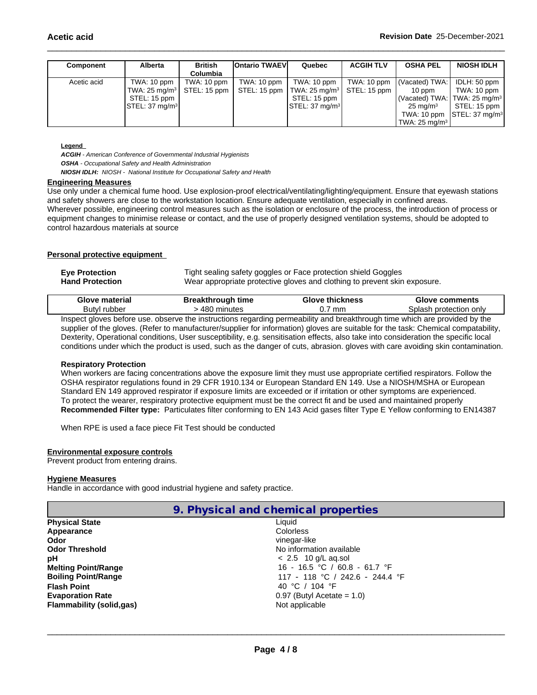| Component   | <b>Alberta</b>                        | <b>British</b><br>Columbia | <b>Ontario TWAEVI</b>     | Quebec                                                  | <b>ACGIH TLV</b> | <b>OSHA PEL</b>           | <b>NIOSH IDLH</b>                                      |
|-------------|---------------------------------------|----------------------------|---------------------------|---------------------------------------------------------|------------------|---------------------------|--------------------------------------------------------|
| Acetic acid | TWA: $10 \text{ ppm}$                 | TWA: 10 ppm                | TWA: $10$ ppm $\parallel$ | TWA: 10 ppm                                             | TWA: 10 ppm      | (Vacated) TWA:            | IDLH: 50 ppm                                           |
|             | TWA: $25 \text{ mg/m}$   STEL: 15 ppm |                            |                           | STEL: 15 ppm   TWA: 25 mg/m <sup>3</sup>   STEL: 15 ppm |                  | $10$ ppm                  | TWA: 10 ppm                                            |
|             | STEL: 15 ppm $\overline{\phantom{a}}$ |                            |                           | STEL: 15 ppm                                            |                  |                           | (Vacated) TWA: TWA: 25 mg/m <sup>3</sup>               |
|             | STEL: 37 mg/m <sup>3</sup>            |                            |                           | $\textsf{ISTEL}: 37 \text{ mg/m}^3$                     |                  | $25 \text{ ma/m}^3$       | STEL: 15 ppm                                           |
|             |                                       |                            |                           |                                                         |                  |                           | TWA: 10 ppm $\left \right $ STEL: 37 mg/m <sup>3</sup> |
|             |                                       |                            |                           |                                                         |                  | TWA: 25 mg/m <sup>3</sup> |                                                        |

#### **Legend**

*ACGIH - American Conference of Governmental Industrial Hygienists OSHA - Occupational Safety and Health Administration*

*NIOSH IDLH: NIOSH - National Institute for Occupational Safety and Health*

#### **Engineering Measures**

Use only under a chemical fume hood. Use explosion-proof electrical/ventilating/lighting/equipment. Ensure that eyewash stations and safety showers are close to the workstation location. Ensure adequate ventilation, especially in confined areas. Wherever possible, engineering control measures such as the isolation or enclosure of the process, the introduction of process or equipment changes to minimise release or contact, and the use of properly designed ventilation systems, should be adopted to control hazardous materials at source

#### **Personal protective equipment**

| <b>Eye Protection</b>  | Tight sealing safety goggles or Face protection shield Goggles            |
|------------------------|---------------------------------------------------------------------------|
| <b>Hand Protection</b> | Wear appropriate protective gloves and clothing to prevent skin exposure. |

| Glove<br>material | akthrough<br>- - - - -<br>tıme<br>-515 |          | <b>comments</b>              |
|-------------------|----------------------------------------|----------|------------------------------|
| Butyl rubber      | <b>utes</b><br>$\cdots$                | mm<br>◡. | only<br>protection<br>⊸nlash |
|                   |                                        | <br>.    |                              |

Inspect gloves before use. observe the instructions regarding permeability and breakthrough time which are provided by the supplier of the gloves. (Refer to manufacturer/supplier for information) gloves are suitable for the task: Chemical compatability, Dexterity, Operational conditions, User susceptibility, e.g. sensitisation effects, also take into consideration the specific local conditions under which the product is used, such as the danger of cuts, abrasion. gloves with care avoiding skin contamination.

#### **Respiratory Protection**

When workers are facing concentrations above the exposure limit they must use appropriate certified respirators. Follow the OSHA respirator regulations found in 29 CFR 1910.134 or European Standard EN 149. Use a NIOSH/MSHA or European Standard EN 149 approved respirator if exposure limits are exceeded or if irritation or other symptoms are experienced. To protect the wearer, respiratory protective equipment must be the correct fit and be used and maintained properly **Recommended Filter type:** Particulates filter conforming to EN 143 Acid gases filter Type E Yellow conforming to EN14387

When RPE is used a face piece Fit Test should be conducted

#### **Environmental exposure controls**

Prevent product from entering drains.

#### **Hygiene Measures**

Handle in accordance with good industrial hygiene and safety practice.

| 9. Physical and chemical properties |  |
|-------------------------------------|--|
|-------------------------------------|--|

| <b>Physical State</b>      | Liauid                          |  |
|----------------------------|---------------------------------|--|
| Appearance                 | <b>Colorless</b>                |  |
| Odor                       | vinegar-like                    |  |
| <b>Odor Threshold</b>      | No information available        |  |
| рH                         | $< 2.5$ 10 g/L ag.sol           |  |
| <b>Melting Point/Range</b> | 16 - 16.5 °C / 60.8 - 61.7 °F   |  |
| <b>Boiling Point/Range</b> | 117 - 118 °C / 242.6 - 244.4 °F |  |
| <b>Flash Point</b>         | 40 °C / 104 °F                  |  |
| <b>Evaporation Rate</b>    | $0.97$ (Butyl Acetate = 1.0)    |  |
| Flammability (solid, qas)  | Not applicable                  |  |
|                            |                                 |  |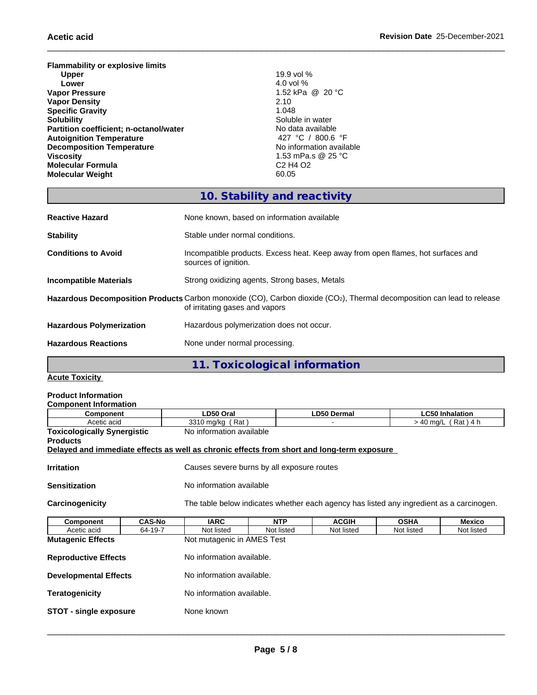**Flammability or explosive limits Upper** 19.9 vol % **Lower Lower 1.0 Lower 1.0 Lower 1.0 1.0 1.0 1.0 1.0 1.0 1.0 1.0 1.0 1.0 1.0 1.0 1.0 1.0 1.0 1.0 1.0 1.0 1.0 1.0 1.0 1.0 1.0 1.0 1.0 1.0 1.0 1.0 1.0 1.0 Vapor Pressure** 1.52 kPa @ 20 °C **Vapor Density** 2.10 **Specific Gravity**<br>Solubility **Partition coefficient; n-octanol/water** No data available No data available Autoignition Temperature Autoicanolym **Autoignition Temperature**<br> **Decomposition Temperature Autoignition Temperature**<br> **Alteria Automation Available**<br> **Alteria Automation Available Decomposition Temperature**<br>Viscosity **Molecular Formula** C2 H4 O2 **Molecular Weight** 

\_\_\_\_\_\_\_\_\_\_\_\_\_\_\_\_\_\_\_\_\_\_\_\_\_\_\_\_\_\_\_\_\_\_\_\_\_\_\_\_\_\_\_\_\_\_\_\_\_\_\_\_\_\_\_\_\_\_\_\_\_\_\_\_\_\_\_\_\_\_\_\_\_\_\_\_\_\_\_\_\_\_\_\_\_\_\_\_\_\_\_\_\_\_ **Acetic acid Revision Date** 25-December-2021

Soluble in water<br>No data available **Viscosity** 1.53 mPa.s @ 25 °C

## **10. Stability and reactivity**

| <b>Reactive Hazard</b>          | None known, based on information available                                                                                                                            |
|---------------------------------|-----------------------------------------------------------------------------------------------------------------------------------------------------------------------|
| <b>Stability</b>                | Stable under normal conditions.                                                                                                                                       |
| <b>Conditions to Avoid</b>      | Incompatible products. Excess heat. Keep away from open flames, hot surfaces and<br>sources of ignition.                                                              |
| Incompatible Materials          | Strong oxidizing agents, Strong bases, Metals                                                                                                                         |
|                                 | Hazardous Decomposition Products Carbon monoxide (CO), Carbon dioxide (CO <sub>2</sub> ), Thermal decomposition can lead to release<br>of irritating gases and vapors |
| <b>Hazardous Polymerization</b> | Hazardous polymerization does not occur.                                                                                                                              |
| <b>Hazardous Reactions</b>      | None under normal processing.                                                                                                                                         |
|                                 |                                                                                                                                                                       |

**11. Toxicological information**

**Acute Toxicity**

### **Product Information**

| <b>Component Information</b>                                                               |               |                                                                                          |                  |              |             |                        |  |
|--------------------------------------------------------------------------------------------|---------------|------------------------------------------------------------------------------------------|------------------|--------------|-------------|------------------------|--|
| <b>Component</b>                                                                           |               | LD50 Oral                                                                                |                  | LD50 Dermal  |             | <b>LC50 Inhalation</b> |  |
| Acetic acid                                                                                |               |                                                                                          | 3310 mg/kg (Rat) |              |             | $>$ 40 mg/L (Rat) 4 h  |  |
| <b>Toxicologically Synergistic</b>                                                         |               | No information available                                                                 |                  |              |             |                        |  |
| <b>Products</b>                                                                            |               |                                                                                          |                  |              |             |                        |  |
| Delayed and immediate effects as well as chronic effects from short and long-term exposure |               |                                                                                          |                  |              |             |                        |  |
|                                                                                            |               |                                                                                          |                  |              |             |                        |  |
| <b>Irritation</b>                                                                          |               | Causes severe burns by all exposure routes                                               |                  |              |             |                        |  |
| <b>Sensitization</b>                                                                       |               | No information available                                                                 |                  |              |             |                        |  |
|                                                                                            |               |                                                                                          |                  |              |             |                        |  |
| Carcinogenicity                                                                            |               | The table below indicates whether each agency has listed any ingredient as a carcinogen. |                  |              |             |                        |  |
|                                                                                            |               |                                                                                          |                  |              |             |                        |  |
| Component                                                                                  | <b>CAS-No</b> | <b>IARC</b>                                                                              | <b>NTP</b>       | <b>ACGIH</b> | <b>OSHA</b> | Mexico                 |  |
| Acetic acid                                                                                | 64-19-7       | Not listed                                                                               | Not listed       | Not listed   | Not listed  | Not listed             |  |
| <b>Mutagenic Effects</b>                                                                   |               | Not mutagenic in AMES Test                                                               |                  |              |             |                        |  |
|                                                                                            |               |                                                                                          |                  |              |             |                        |  |
| <b>Reproductive Effects</b>                                                                |               | No information available.                                                                |                  |              |             |                        |  |
|                                                                                            |               |                                                                                          |                  |              |             |                        |  |
| <b>Developmental Effects</b>                                                               |               | No information available.                                                                |                  |              |             |                        |  |
|                                                                                            |               |                                                                                          |                  |              |             |                        |  |

- **Teratogenicity No information available.**
- **STOT single exposure** None known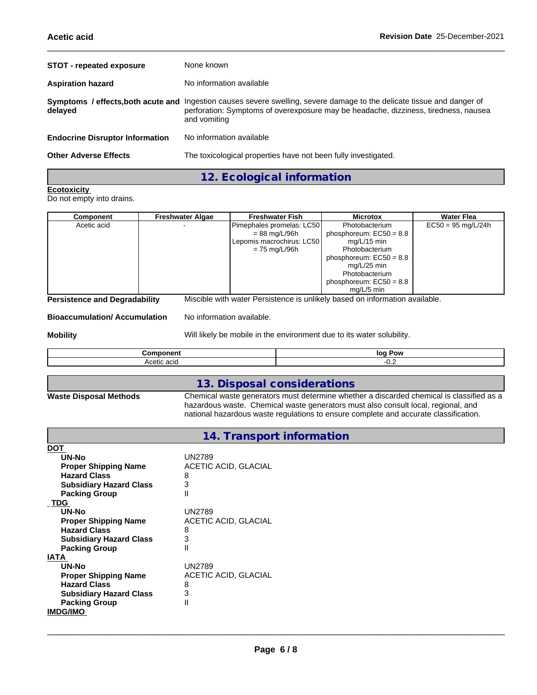| <b>STOT - repeated exposure</b>        | None known                                                                                                                                                                                                                     |
|----------------------------------------|--------------------------------------------------------------------------------------------------------------------------------------------------------------------------------------------------------------------------------|
| <b>Aspiration hazard</b>               | No information available                                                                                                                                                                                                       |
| delayed                                | Symptoms / effects, both acute and Ingestion causes severe swelling, severe damage to the delicate tissue and danger of<br>perforation: Symptoms of overexposure may be headache, dizziness, tiredness, nausea<br>and vomiting |
| <b>Endocrine Disruptor Information</b> | No information available                                                                                                                                                                                                       |
| <b>Other Adverse Effects</b>           | The toxicological properties have not been fully investigated.                                                                                                                                                                 |

**12. Ecological information**

### **Ecotoxicity**

Do not empty into drains.

| Component                            | <b>Freshwater Algae</b> | <b>Freshwater Fish</b>                                                      | <b>Microtox</b>           | <b>Water Flea</b>    |
|--------------------------------------|-------------------------|-----------------------------------------------------------------------------|---------------------------|----------------------|
| Acetic acid                          |                         | Pimephales promelas: LC50                                                   | Photobacterium            | $EC50 = 95$ mg/L/24h |
|                                      |                         | $= 88 \text{ mg/L} / 96 \text{h}$                                           | phosphoreum: $EC50 = 8.8$ |                      |
|                                      |                         | Lepomis macrochirus: LC50                                                   | mg/L/15 min               |                      |
|                                      |                         | $= 75$ mg/L/96h                                                             | Photobacterium            |                      |
|                                      |                         |                                                                             | phosphoreum: $EC50 = 8.8$ |                      |
|                                      |                         |                                                                             | mg/L/25 min               |                      |
|                                      |                         |                                                                             | Photobacterium            |                      |
|                                      |                         |                                                                             | phosphoreum: $EC50 = 8.8$ |                      |
|                                      |                         |                                                                             | mg/L/5 min                |                      |
| <b>Persistence and Degradability</b> |                         | Miscible with water Persistence is unlikely based on information available. |                           |                      |

**Bioaccumulation/ Accumulation** No information available.

**Mobility** Mobility Will likely be mobile in the environment due to its water solubility.

|                                              | loq<br>. Pov |
|----------------------------------------------|--------------|
| $\Delta \cap \Delta^+$<br>^**^<br>. .<br>--- | $\sim$       |

# **13. Disposal considerations**

**Waste Disposal Methods** Chemical waste generators must determine whether a discarded chemical is classified as a hazardous waste. Chemical waste generators must also consult local, regional, and national hazardous waste regulations to ensure complete and accurate classification.

### **14. Transport information**

| <b>DOT</b>                     |                      |
|--------------------------------|----------------------|
| UN-No                          | <b>UN2789</b>        |
| <b>Proper Shipping Name</b>    | ACETIC ACID, GLACIAL |
| <b>Hazard Class</b>            | 8                    |
| <b>Subsidiary Hazard Class</b> | 3                    |
| <b>Packing Group</b>           | $\mathsf{I}$         |
| <b>TDG</b>                     |                      |
| UN-No                          | <b>UN2789</b>        |
| <b>Proper Shipping Name</b>    | ACETIC ACID, GLACIAL |
| <b>Hazard Class</b>            | 8                    |
| <b>Subsidiary Hazard Class</b> | 3                    |
| <b>Packing Group</b>           | $\mathsf{I}$         |
| <b>IATA</b>                    |                      |
| UN-No                          | UN2789               |
| <b>Proper Shipping Name</b>    | ACETIC ACID, GLACIAL |
| <b>Hazard Class</b>            | 8                    |
| <b>Subsidiary Hazard Class</b> | 3                    |
| <b>Packing Group</b>           | Ш                    |
| <b>IMDG/IMO</b>                |                      |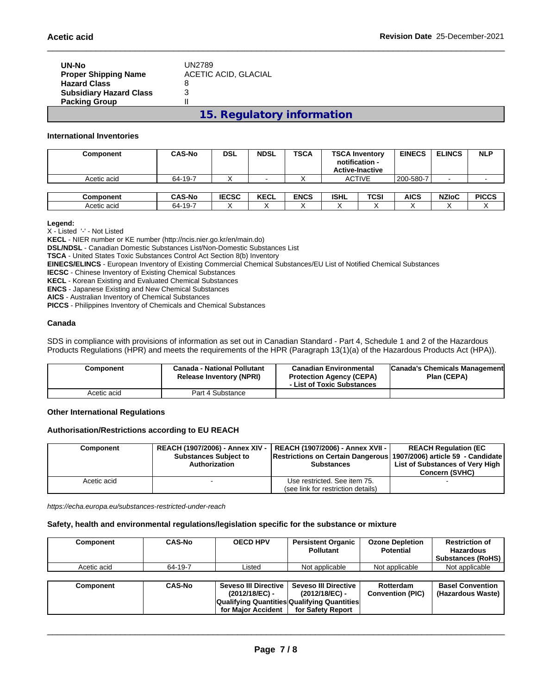| UN-No<br><b>Proper Shipping Name</b><br><b>Hazard Class</b> | UN2789<br>ACETIC ACID, GLACIAL<br>8 |
|-------------------------------------------------------------|-------------------------------------|
| <b>Subsidiary Hazard Class</b><br><b>Packing Group</b>      | 3                                   |
|                                                             | 15. Regulatory information          |

**International Inventories**

| Component   | <b>CAS-No</b> | <b>DSL</b>   | <b>NDSL</b> | <b>TSCA</b> | <b>TSCA Inventory</b><br>notification - | <b>Active-Inactive</b> | <b>EINECS</b> | <b>ELINCS</b> | <b>NLP</b>   |
|-------------|---------------|--------------|-------------|-------------|-----------------------------------------|------------------------|---------------|---------------|--------------|
| Acetic acid | 64-19-7       |              |             |             |                                         | <b>ACTIVE</b>          | 200-580-7     |               |              |
|             |               |              |             |             |                                         |                        |               |               |              |
| Component   | <b>CAS-No</b> | <b>IECSC</b> | <b>KECL</b> | <b>ENCS</b> | <b>ISHL</b>                             | TCSI                   | <b>AICS</b>   | <b>NZIoC</b>  | <b>PICCS</b> |
| Acetic acid | 64-19-7       |              | ↗           |             |                                         |                        |               | $\lambda$     |              |

#### **Legend:**

X - Listed '-' - Not Listed

**KECL** - NIER number or KE number (http://ncis.nier.go.kr/en/main.do)

**DSL/NDSL** - Canadian Domestic Substances List/Non-Domestic Substances List

**TSCA** - United States Toxic Substances Control Act Section 8(b) Inventory

**EINECS/ELINCS** - European Inventory of Existing Commercial Chemical Substances/EU List of Notified Chemical Substances

**IECSC** - Chinese Inventory of Existing Chemical Substances

**KECL** - Korean Existing and Evaluated Chemical Substances

**ENCS** - Japanese Existing and New Chemical Substances

**AICS** - Australian Inventory of Chemical Substances

**PICCS** - Philippines Inventory of Chemicals and Chemical Substances

### **Canada**

SDS in compliance with provisions of information as set out in Canadian Standard - Part 4, Schedule 1 and 2 of the Hazardous Products Regulations (HPR) and meets the requirements of the HPR (Paragraph 13(1)(a) of the Hazardous Products Act (HPA)).

| Component   | Canada - National Pollutant<br><b>Release Inventory (NPRI)</b> | Canadian Environmental<br><b>Protection Agency (CEPA)</b><br>- List of Toxic Substances | Canada's Chemicals Management<br>Plan (CEPA) |
|-------------|----------------------------------------------------------------|-----------------------------------------------------------------------------------------|----------------------------------------------|
| Acetic acid | Part 4 Substance                                               |                                                                                         |                                              |

#### **Other International Regulations**

#### **Authorisation/Restrictions according to EU REACH**

| Component   | <b>Substances Subject to</b><br>Authorization | REACH (1907/2006) - Annex XIV -   REACH (1907/2006) - Annex XVII -  <br>Restrictions on Certain Dangerous 1907/2006) article 59 - Candidate<br><b>Substances</b> | <b>REACH Requlation (EC</b><br>List of Substances of Very High<br><b>Concern (SVHC)</b> |
|-------------|-----------------------------------------------|------------------------------------------------------------------------------------------------------------------------------------------------------------------|-----------------------------------------------------------------------------------------|
| Acetic acid |                                               | Use restricted. See item 75.                                                                                                                                     |                                                                                         |
|             |                                               | (see link for restriction details)                                                                                                                               |                                                                                         |

*https://echa.europa.eu/substances-restricted-under-reach*

#### **Safety, health and environmental regulations/legislation specific for the substance or mixture**

| Component   | <b>CAS-No</b> | <b>OECD HPV</b> | <b>Persistent Organic</b><br><b>Pollutant</b> | <b>Ozone Depletion</b><br>Potential | <b>Restriction of</b><br>Hazardous<br><b>Substances (RoHS)</b> |
|-------------|---------------|-----------------|-----------------------------------------------|-------------------------------------|----------------------------------------------------------------|
| Acetic acid | 64-19-7       | Listed          | Not applicable                                | Not applicable                      | Not applicable                                                 |

| Component | <b>CAS-No</b> | Seveso III Directive I | <b>Seveso III Directive</b>                 | Rotterdam               | <b>Basel Convention</b> |
|-----------|---------------|------------------------|---------------------------------------------|-------------------------|-------------------------|
|           |               | (2012/18/EC) -         | (2012/18/EC) -                              | <b>Convention (PIC)</b> | (Hazardous Waste)       |
|           |               |                        | Qualifying Quantities Qualifying Quantities |                         |                         |
|           |               | for Maior Accident     | for Safety Report                           |                         |                         |